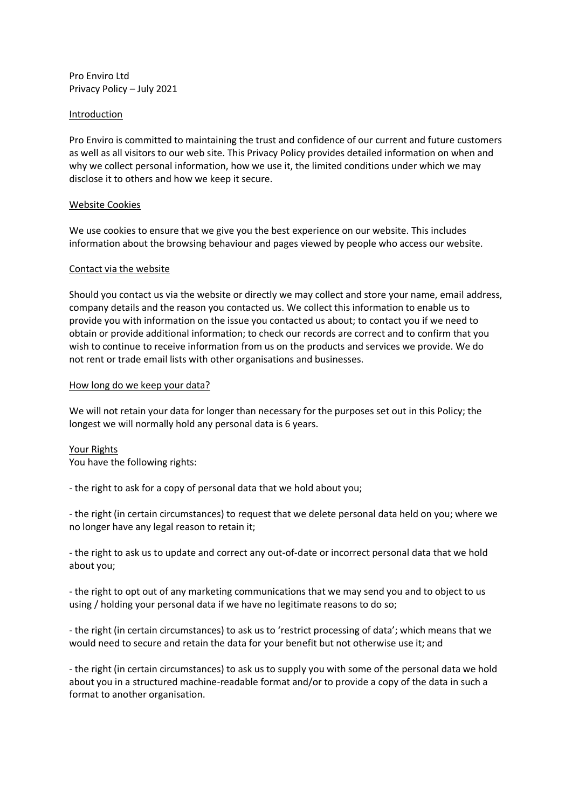Pro Enviro Ltd Privacy Policy – July 2021

# Introduction

Pro Enviro is committed to maintaining the trust and confidence of our current and future customers as well as all visitors to our web site. This Privacy Policy provides detailed information on when and why we collect personal information, how we use it, the limited conditions under which we may disclose it to others and how we keep it secure.

# Website Cookies

We use cookies to ensure that we give you the best experience on our website. This includes information about the browsing behaviour and pages viewed by people who access our website.

# Contact via the website

Should you contact us via the website or directly we may collect and store your name, email address, company details and the reason you contacted us. We collect this information to enable us to provide you with information on the issue you contacted us about; to contact you if we need to obtain or provide additional information; to check our records are correct and to confirm that you wish to continue to receive information from us on the products and services we provide. We do not rent or trade email lists with other organisations and businesses.

# How long do we keep your data?

We will not retain your data for longer than necessary for the purposes set out in this Policy; the longest we will normally hold any personal data is 6 years.

# Your Rights

You have the following rights:

- the right to ask for a copy of personal data that we hold about you;

- the right (in certain circumstances) to request that we delete personal data held on you; where we no longer have any legal reason to retain it;

- the right to ask us to update and correct any out-of-date or incorrect personal data that we hold about you;

- the right to opt out of any marketing communications that we may send you and to object to us using / holding your personal data if we have no legitimate reasons to do so;

- the right (in certain circumstances) to ask us to 'restrict processing of data'; which means that we would need to secure and retain the data for your benefit but not otherwise use it; and

- the right (in certain circumstances) to ask us to supply you with some of the personal data we hold about you in a structured machine-readable format and/or to provide a copy of the data in such a format to another organisation.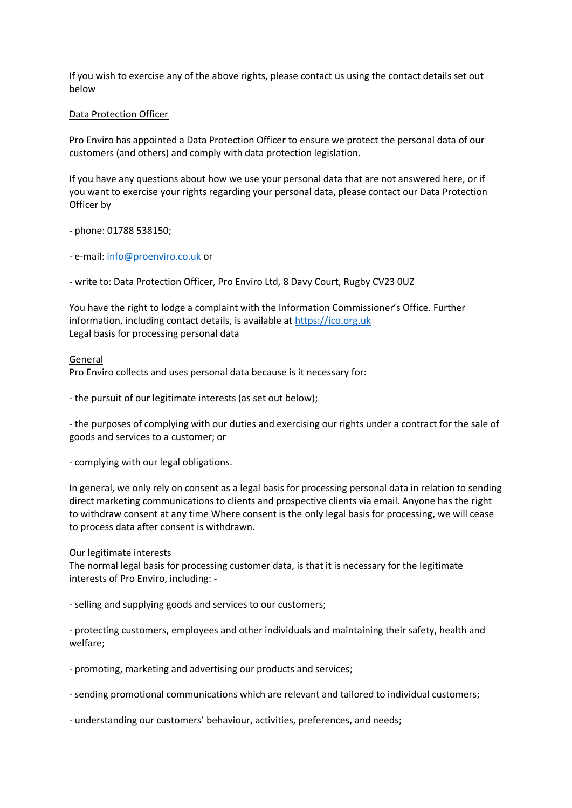If you wish to exercise any of the above rights, please contact us using the contact details set out below

# Data Protection Officer

Pro Enviro has appointed a Data Protection Officer to ensure we protect the personal data of our customers (and others) and comply with data protection legislation.

If you have any questions about how we use your personal data that are not answered here, or if you want to exercise your rights regarding your personal data, please contact our Data Protection Officer by

- phone: 01788 538150;

- e-mail: [info@proenviro.co.uk](mailto:info@proenviro.co.uk) or

- write to: Data Protection Officer, Pro Enviro Ltd, 8 Davy Court, Rugby CV23 0UZ

You have the right to lodge a complaint with the Information Commissioner's Office. Further information, including contact details, is available at [https://ico.org.uk](https://ico.org.uk/) Legal basis for processing personal data

### General

Pro Enviro collects and uses personal data because is it necessary for:

- the pursuit of our legitimate interests (as set out below);

- the purposes of complying with our duties and exercising our rights under a contract for the sale of goods and services to a customer; or

- complying with our legal obligations.

In general, we only rely on consent as a legal basis for processing personal data in relation to sending direct marketing communications to clients and prospective clients via email. Anyone has the right to withdraw consent at any time Where consent is the only legal basis for processing, we will cease to process data after consent is withdrawn.

### Our legitimate interests

The normal legal basis for processing customer data, is that it is necessary for the legitimate interests of Pro Enviro, including: -

- selling and supplying goods and services to our customers;

- protecting customers, employees and other individuals and maintaining their safety, health and welfare;

- promoting, marketing and advertising our products and services;

- sending promotional communications which are relevant and tailored to individual customers;

- understanding our customers' behaviour, activities, preferences, and needs;